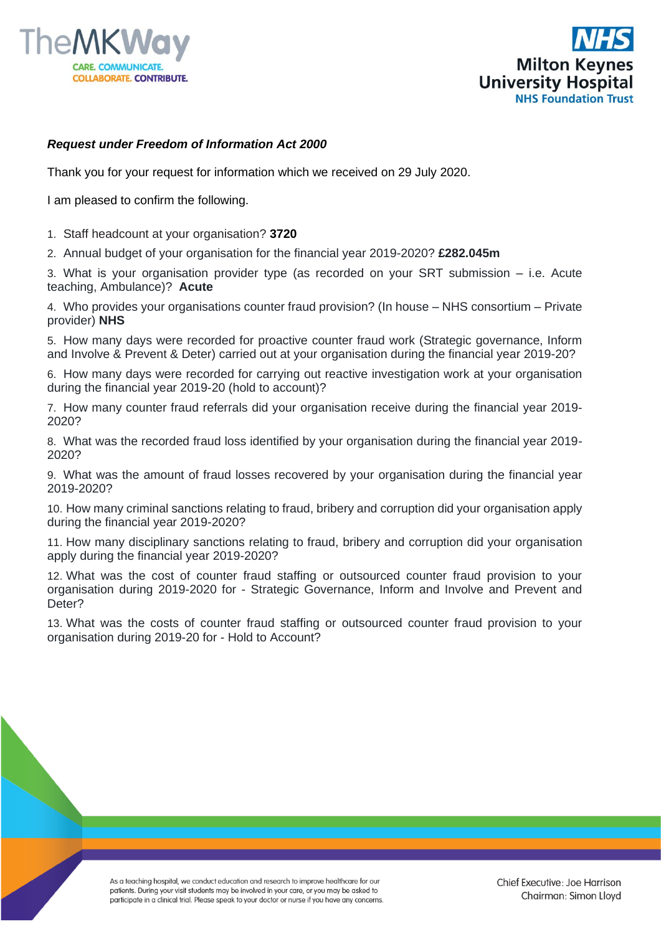



## *Request under Freedom of Information Act 2000*

Thank you for your request for information which we received on 29 July 2020.

I am pleased to confirm the following.

- 1. Staff headcount at your organisation? **3720**
- 2. Annual budget of your organisation for the financial year 2019-2020? **£282.045m**

3. What is your organisation provider type (as recorded on your SRT submission – i.e. Acute teaching, Ambulance)? **Acute**

4. Who provides your organisations counter fraud provision? (In house – NHS consortium – Private provider) **NHS**

5. How many days were recorded for proactive counter fraud work (Strategic governance, Inform and Involve & Prevent & Deter) carried out at your organisation during the financial year 2019-20?

6. How many days were recorded for carrying out reactive investigation work at your organisation during the financial year 2019-20 (hold to account)?

7. How many counter fraud referrals did your organisation receive during the financial year 2019- 2020?

8. What was the recorded fraud loss identified by your organisation during the financial year 2019- 2020?

9. What was the amount of fraud losses recovered by your organisation during the financial year 2019-2020?

10. How many criminal sanctions relating to fraud, bribery and corruption did your organisation apply during the financial year 2019-2020?

11. How many disciplinary sanctions relating to fraud, bribery and corruption did your organisation apply during the financial year 2019-2020?

12. What was the cost of counter fraud staffing or outsourced counter fraud provision to your organisation during 2019-2020 for - Strategic Governance, Inform and Involve and Prevent and Deter?

13. What was the costs of counter fraud staffing or outsourced counter fraud provision to your organisation during 2019-20 for - Hold to Account?

> As a teaching hospital, we conduct education and research to improve healthcare for our patients. During your visit students may be involved in your care, or you may be asked to participate in a clinical trial. Please speak to your doctor or nurse if you have any concerns.

Chief Executive: Joe Harrison Chairman: Simon Lloyd